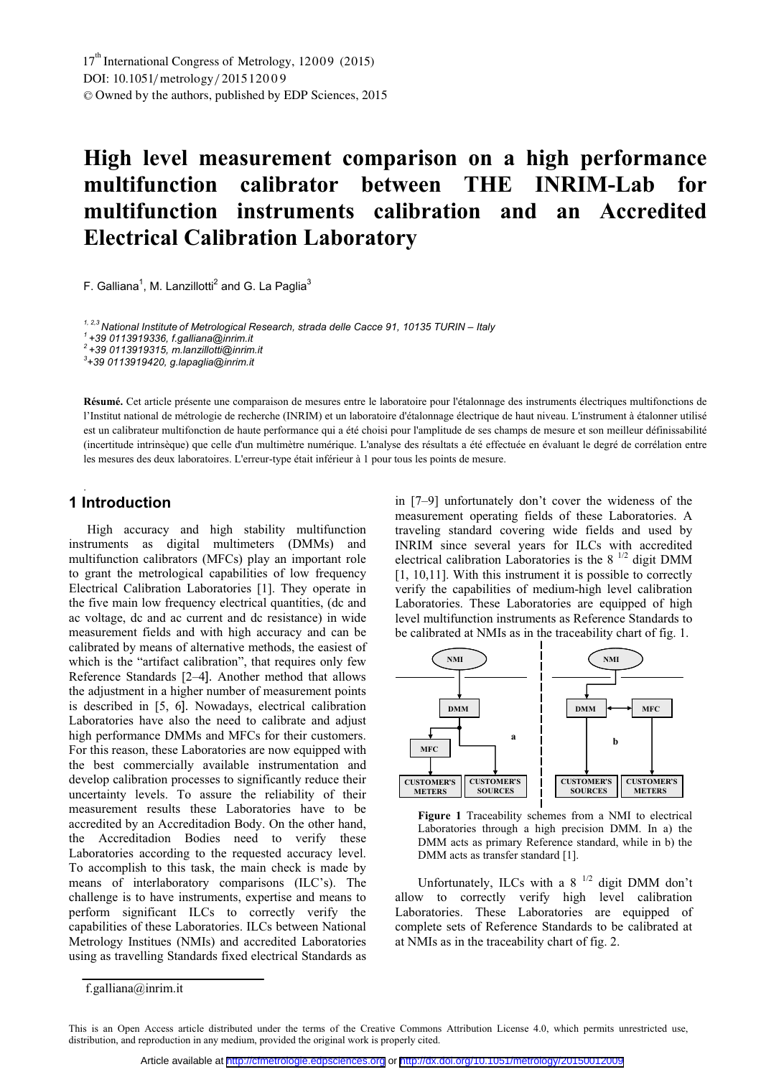# **High level measurement comparison on a high performance multifunction calibrator between THE INRIM-Lab for multifunction instruments calibration and an Accredited Electrical Calibration Laboratory**

F. Galliana $^1$ , M. Lanzillotti $^2$  and G. La Paglia $^3$ 

<sup>1, 2,3</sup> National Institute of Metrological Research, strada delle Cacce 91, 10135 TURIN – Italy<br><sup>1</sup> +39 0113919336, f.galliana@inrim.it

*2 +39 0113919315, m.lanzillotti@inrim.it*

*3 +39 0113919420, g.lapaglia@inrim.it* 

**R sumé.** Cet article présente une comparaison de mesures entre le laboratoire pour l'étalonnage des instruments électriques multifonctions de **é** l'Institut national de métrologie de recherche (INRIM) et un laboratoire d'étalonnage électrique de haut niveau. L'instrument à étalonner utilisé est un calibrateur multifonction de haute performance qui a été choisi pour l'amplitude de ses champs de mesure et son meilleur définissabilité (incertitude intrinsèque) que celle d'un multimètre numérique. L'analyse des résultats a été effectuée en évaluant le degré de corrélation entre les mesures des deux laboratoires. L'erreur-type était inférieur à 1 pour tous les points de mesure.

## **1 Introduction**

.

High accuracy and high stability multifunction instruments as digital multimeters (DMMs) and multifunction calibrators (MFCs) play an important role to grant the metrological capabilities of low frequency Electrical Calibration Laboratories [1]. They operate in the five main low frequency electrical quantities, (dc and ac voltage, dc and ac current and dc resistance) in wide measurement fields and with high accuracy and can be calibrated by means of alternative methods, the easiest of which is the "artifact calibration", that requires only few Reference Standards [2–4]. Another method that allows the adjustment in a higher number of measurement points is described in [5, 6]. Nowadays, electrical calibration Laboratories have also the need to calibrate and adjust high performance DMMs and MFCs for their customers. For this reason, these Laboratories are now equipped with the best commercially available instrumentation and develop calibration processes to significantly reduce their uncertainty levels. To assure the reliability of their measurement results these Laboratories have to be accredited by an Accreditadion Body. On the other hand, the Accreditadion Bodies need to verify these Laboratories according to the requested accuracy level. To accomplish to this task, the main check is made by means of interlaboratory comparisons (ILC's). The challenge is to have instruments, expertise and means to perform significant ILCs to correctly verify the capabilities of these Laboratories. ILCs between National Metrology Institues (NMIs) and accredited Laboratories using as travelling Standards fixed electrical Standards as

in [7–9] unfortunately don't cover the wideness of the measurement operating fields of these Laboratories. A traveling standard covering wide fields and used by INRIM since several years for ILCs with accredited electrical calibration Laboratories is the  $8<sup>1/2</sup>$  digit DMM [1, 10,11]. With this instrument it is possible to correctly verify the capabilities of medium-high level calibration Laboratories. These Laboratories are equipped of high level multifunction instruments as Reference Standards to be calibrated at NMIs as in the traceability chart of fig. 1.



**Figure 1** Traceability schemes from a NMI to electrical Laboratories through a high precision DMM. In a) the DMM acts as primary Reference standard, while in b) the DMM acts as transfer standard [1].

Unfortunately, ILCs with a 8  $^{1/2}$  digit DMM don't allow to correctly verify high level calibration Laboratories. These Laboratories are equipped of complete sets of Reference Standards to be calibrated at at NMIs as in the traceability chart of fig. 2.

f.galliana@inrim.it

This is an Open Access article distributed under the terms of the Creative Commons Attribution License 4.0, which permits unrestricted use, distribution, and reproduction in any medium, provided the original work is properly cited.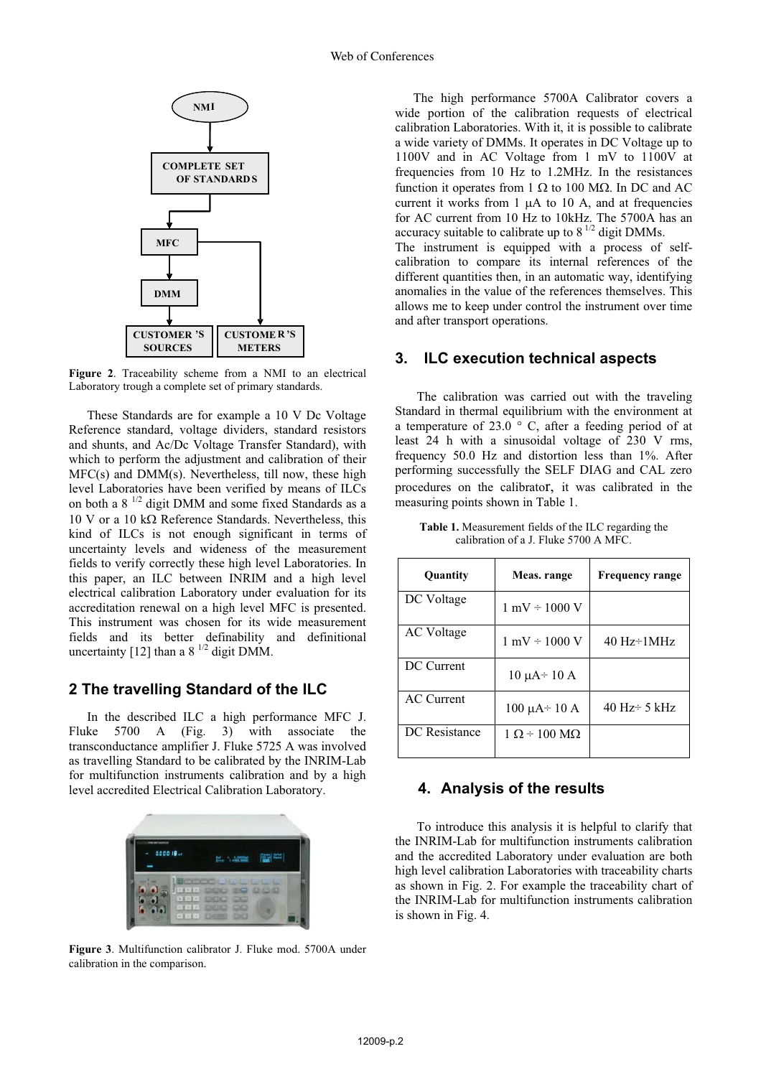

**Figure 2**. Traceability scheme from a NMI to an electrical Laboratory trough a complete set of primary standards.

These Standards are for example a 10 V Dc Voltage Reference standard, voltage dividers, standard resistors and shunts, and Ac/Dc Voltage Transfer Standard), with which to perform the adjustment and calibration of their MFC(s) and DMM(s). Nevertheless, till now, these high level Laboratories have been verified by means of ILCs on both a 8 1/2 digit DMM and some fixed Standards as a  $10$  V or a  $10$  k $\Omega$  Reference Standards. Nevertheless, this kind of ILCs is not enough significant in terms of uncertainty levels and wideness of the measurement fields to verify correctly these high level Laboratories. In this paper, an ILC between INRIM and a high level electrical calibration Laboratory under evaluation for its accreditation renewal on a high level MFC is presented. This instrument was chosen for its wide measurement fields and its better definability and definitional uncertainty [12] than a  $8^{1/2}$  digit DMM.

## **2 The travelling Standard of the ILC**

In the described ILC a high performance MFC J. Fluke 5700 A (Fig. 3) with associate the transconductance amplifier J. Fluke 5725 A was involved as travelling Standard to be calibrated by the INRIM-Lab for multifunction instruments calibration and by a high level accredited Electrical Calibration Laboratory.



**Figure 3**. Multifunction calibrator J. Fluke mod. 5700A under calibration in the comparison.

The high performance 5700A Calibrator covers a wide portion of the calibration requests of electrical calibration Laboratories. With it, it is possible to calibrate a wide variety of DMMs. It operates in DC Voltage up to 1100V and in AC Voltage from 1 mV to 1100V at frequencies from 10 Hz to 1.2MHz. In the resistances function it operates from 1  $\Omega$  to 100 M $\Omega$ . In DC and AC current it works from  $1 \mu A$  to  $10 \text{ A}$ , and at frequencies for AC current from 10 Hz to 10kHz. The 5700A has an accuracy suitable to calibrate up to  $8^{1/2}$  digit DMMs.

The instrument is equipped with a process of selfcalibration to compare its internal references of the different quantities then, in an automatic way, identifying anomalies in the value of the references themselves. This allows me to keep under control the instrument over time and after transport operations.

### **3. ILC execution technical aspects**

 The calibration was carried out with the traveling Standard in thermal equilibrium with the environment at a temperature of 23.0  $\degree$  C, after a feeding period of at least 24 h with a sinusoidal voltage of 230 V rms, frequency 50.0 Hz and distortion less than 1%. After performing successfully the SELF DIAG and CAL zero procedures on the calibrator, it was calibrated in the measuring points shown in Table 1.

| <b>Table 1.</b> Measurement fields of the ILC regarding the |
|-------------------------------------------------------------|
| calibration of a J. Fluke 5700 A MFC.                       |

| <b>Quantity</b>   | Meas. range                        | <b>Frequency range</b>            |
|-------------------|------------------------------------|-----------------------------------|
| DC Voltage        | $1 \text{ mV} \div 1000 \text{ V}$ |                                   |
| AC Voltage        | $1 \text{ mV} \div 1000 \text{ V}$ | $40 \text{ Hz} \div 1 \text{MHz}$ |
| DC Current        | $10 \mu A \div 10 A$               |                                   |
| <b>AC</b> Current | $100 \mu A \div 10 A$              | 40 Hz $\div$ 5 kHz                |
| DC Resistance     | $1 \Omega$ = 100 MO                |                                   |

#### **4. Analysis of the results**

 To introduce this analysis it is helpful to clarify that the INRIM-Lab for multifunction instruments calibration and the accredited Laboratory under evaluation are both high level calibration Laboratories with traceability charts as shown in Fig. 2. For example the traceability chart of the INRIM-Lab for multifunction instruments calibration is shown in Fig. 4.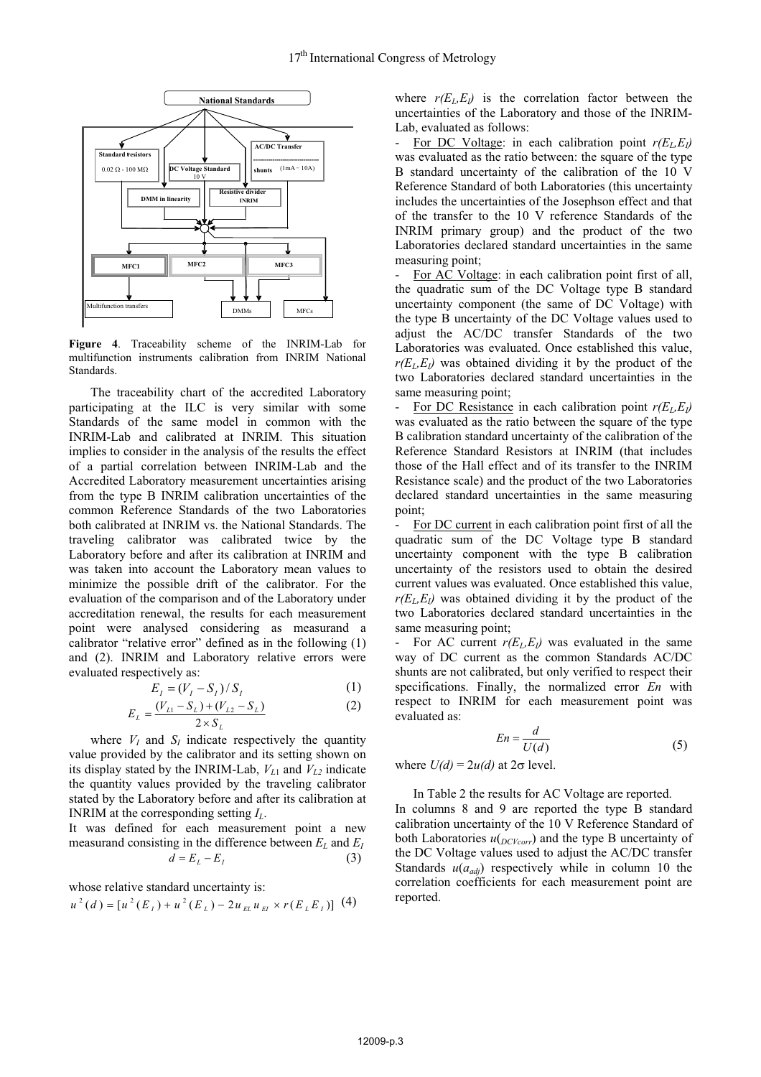

**Figure 4**. Traceability scheme of the INRIM-Lab for multifunction instruments calibration from INRIM National Standards.

 The traceability chart of the accredited Laboratory participating at the ILC is very similar with some Standards of the same model in common with the INRIM-Lab and calibrated at INRIM. This situation implies to consider in the analysis of the results the effect of a partial correlation between INRIM-Lab and the Accredited Laboratory measurement uncertainties arising from the type B INRIM calibration uncertainties of the common Reference Standards of the two Laboratories both calibrated at INRIM vs. the National Standards. The traveling calibrator was calibrated twice by the Laboratory before and after its calibration at INRIM and was taken into account the Laboratory mean values to minimize the possible drift of the calibrator. For the evaluation of the comparison and of the Laboratory under accreditation renewal, the results for each measurement point were analysed considering as measurand a calibrator "relative error" defined as in the following (1) and (2). INRIM and Laboratory relative errors were evaluated respectively as:

$$
E_{I} = (V_{I} - S_{I}) / S_{I}
$$
 (1)

$$
E_{L} = \frac{(V_{L1} - S_{L}) + (V_{L2} - S_{L})}{2 \times S_{L}}
$$
 (2)

where  $V_I$  and  $S_I$  indicate respectively the quantity value provided by the calibrator and its setting shown on its display stated by the INRIM-Lab,  $V_{L1}$  and  $V_{L2}$  indicate the quantity values provided by the traveling calibrator stated by the Laboratory before and after its calibration at INRIM at the corresponding setting *IL*.

It was defined for each measurement point a new measurand consisting in the difference between  $E_L$  and  $E_I$  $d = E_L - E_I$  (3)

whose relative standard uncertainty is:

$$
u^2(d)=[u^2(E_{_I})+u^2(E_{_L})-2u_{_{EL}}u_{_{EI}}\times r(E_{_L}E_{_I})]~(4)
$$

where  $r(E_L, E_l)$  is the correlation factor between the uncertainties of the Laboratory and those of the INRIM-Lab, evaluated as follows:

For DC Voltage: in each calibration point  $r(E_L, E_l)$ was evaluated as the ratio between: the square of the type B standard uncertainty of the calibration of the 10 V Reference Standard of both Laboratories (this uncertainty includes the uncertainties of the Josephson effect and that of the transfer to the 10 V reference Standards of the INRIM primary group) and the product of the two Laboratories declared standard uncertainties in the same measuring point;

For AC Voltage: in each calibration point first of all, the quadratic sum of the DC Voltage type B standard uncertainty component (the same of DC Voltage) with the type B uncertainty of the DC Voltage values used to adjust the AC/DC transfer Standards of the two Laboratories was evaluated. Once established this value,  $r(E_L, E_I)$  was obtained dividing it by the product of the two Laboratories declared standard uncertainties in the same measuring point;

For DC Resistance in each calibration point  $r(E_L, E_l)$ was evaluated as the ratio between the square of the type B calibration standard uncertainty of the calibration of the Reference Standard Resistors at INRIM (that includes those of the Hall effect and of its transfer to the INRIM Resistance scale) and the product of the two Laboratories declared standard uncertainties in the same measuring point;

For DC current in each calibration point first of all the quadratic sum of the DC Voltage type B standard uncertainty component with the type B calibration uncertainty of the resistors used to obtain the desired current values was evaluated. Once established this value,  $r(E_L,E_I)$  was obtained dividing it by the product of the two Laboratories declared standard uncertainties in the same measuring point;

For AC current  $r(E_L, E_J)$  was evaluated in the same way of DC current as the common Standards AC/DC shunts are not calibrated, but only verified to respect their specifications. Finally, the normalized error *En* with respect to INRIM for each measurement point was evaluated as:

$$
En = \frac{d}{U(d)}\tag{5}
$$

where  $U(d) = 2u(d)$  at  $2\sigma$  level.

 In Table 2 the results for AC Voltage are reported. In columns 8 and 9 are reported the type B standard calibration uncertainty of the 10 V Reference Standard of both Laboratories  $u$ <sub>(*DCVcorr*)</sub> and the type B uncertainty of the DC Voltage values used to adjust the AC/DC transfer Standards  $u(a_{adj})$  respectively while in column 10 the correlation coefficients for each measurement point are reported.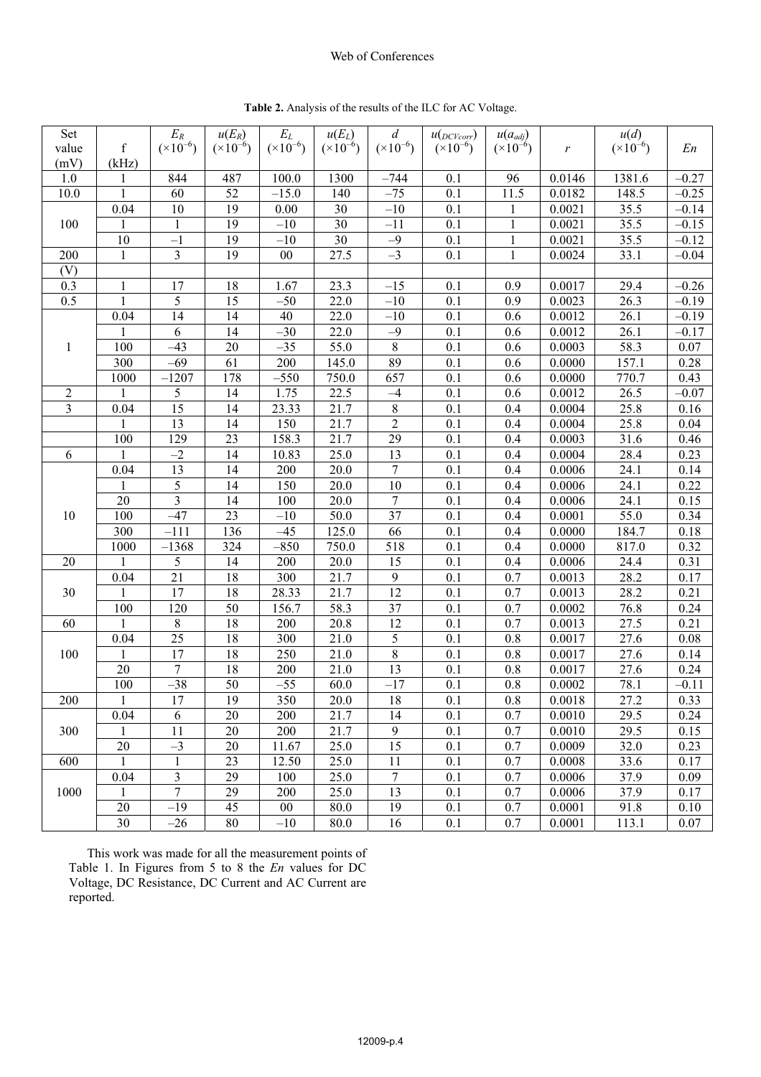#### Web of Conferences

| Set                     |              | $E_R$                   | $u(E_R)$            | $\mathcal{E}_L$     | $u(E_L)$           | $\boldsymbol{d}$   | $u(p_{C\text{Vcorr}})$ | $u(a_{adj})$       |        | u(d)         |         |
|-------------------------|--------------|-------------------------|---------------------|---------------------|--------------------|--------------------|------------------------|--------------------|--------|--------------|---------|
| value                   | $\mathbf f$  | $({\times}10^{-6})$     | $({\times}10^{-6})$ | $({\times}10^{-6})$ | $(\times 10^{-6})$ | $(\times 10^{-6})$ | $(\times 10^{-6})$     | $(\times 10^{-6})$ | r      | $(x10^{-6})$ | En      |
| (mV)                    | (kHz)        |                         |                     |                     |                    |                    |                        |                    |        |              |         |
| 1.0                     | 1            | 844                     | 487                 | 100.0               | 1300               | $-744$             | 0.1                    | 96                 | 0.0146 | 1381.6       | $-0.27$ |
| 10.0                    | $\mathbf{1}$ | 60                      | 52                  | $-15.0$             | 140                | $-75$              | 0.1                    | 11.5               | 0.0182 | 148.5        | $-0.25$ |
|                         | 0.04         | 10                      | 19                  | 0.00                | 30                 | $-10$              | 0.1                    | 1                  | 0.0021 | 35.5         | $-0.14$ |
| 100                     | 1            | $\mathbf{1}$            | 19                  | $-10$               | 30                 | $-11$              | 0.1                    | $\mathbf{1}$       | 0.0021 | 35.5         | $-0.15$ |
|                         | 10           | $-1$                    | 19                  | $-10$               | 30                 | $-9$               | 0.1                    | $\mathbf{1}$       | 0.0021 | 35.5         | $-0.12$ |
| 200                     | 1            | 3                       | 19                  | $00\,$              | 27.5               | $-3$               | 0.1                    | $\mathbf{1}$       | 0.0024 | 33.1         | $-0.04$ |
| (V)                     |              |                         |                     |                     |                    |                    |                        |                    |        |              |         |
| 0.3                     | 1            | 17                      | 18                  | 1.67                | 23.3               | $-15$              | 0.1                    | 0.9                | 0.0017 | 29.4         | $-0.26$ |
| 0.5                     | 1            | 5                       | 15                  | $-50$               | 22.0               | $-10$              | 0.1                    | 0.9                | 0.0023 | 26.3         | $-0.19$ |
|                         | 0.04         | 14                      | 14                  | 40                  | 22.0               | $-10$              | 0.1                    | 0.6                | 0.0012 | 26.1         | $-0.19$ |
|                         | 1            | 6                       | 14                  | $-30$               | 22.0               | $-9$               | 0.1                    | 0.6                | 0.0012 | 26.1         | $-0.17$ |
| $\mathbf{1}$            | 100          | $-43$                   | 20                  | $-35$               | 55.0               | $8\,$              | 0.1                    | 0.6                | 0.0003 | 58.3         | 0.07    |
|                         | 300          | $-69$                   | 61                  | 200                 | 145.0              | 89                 | 0.1                    | 0.6                | 0.0000 | 157.1        | 0.28    |
|                         | 1000         | $-1207$                 | 178                 | $-550$              | 750.0              | 657                | 0.1                    | 0.6                | 0.0000 | 770.7        | 0.43    |
| $\sqrt{2}$              | 1            | 5                       | 14                  | 1.75                | 22.5               | $-4$               | 0.1                    | 0.6                | 0.0012 | 26.5         | $-0.07$ |
| $\overline{\mathbf{3}}$ | 0.04         | 15                      | 14                  | 23.33               | 21.7               | $8\,$              | 0.1                    | 0.4                | 0.0004 | 25.8         | 0.16    |
|                         | 1            | 13                      | 14                  | 150                 | 21.7               | $\overline{2}$     | 0.1                    | 0.4                | 0.0004 | 25.8         | 0.04    |
|                         | 100          | 129                     | 23                  | 158.3               | 21.7               | 29                 | 0.1                    | 0.4                | 0.0003 | 31.6         | 0.46    |
| 6                       | 1            | $-2$                    | 14                  | 10.83               | 25.0               | 13                 | 0.1                    | 0.4                | 0.0004 | 28.4         | 0.23    |
|                         | 0.04         | 13                      | 14                  | 200                 | 20.0               | $\tau$             | 0.1                    | 0.4                | 0.0006 | 24.1         | 0.14    |
|                         | 1            | 5                       | 14                  | 150                 | 20.0               | 10                 | 0.1                    | 0.4                | 0.0006 | 24.1         | 0.22    |
|                         | 20           | $\overline{\mathbf{3}}$ | 14                  | 100                 | 20.0               | $\tau$             | 0.1                    | 0.4                | 0.0006 | 24.1         | 0.15    |
| 10                      | 100          | $-47$                   | 23                  | $-10$               | 50.0               | 37                 | 0.1                    | 0.4                | 0.0001 | 55.0         | 0.34    |
|                         | 300          | $-111$                  | 136                 | $-45$               | 125.0              | 66                 | 0.1                    | 0.4                | 0.0000 | 184.7        | 0.18    |
|                         | 1000         | $-1368$                 | 324                 | $-850$              | 750.0              | 518                | 0.1                    | 0.4                | 0.0000 | 817.0        | 0.32    |
| 20                      | 1            | 5                       | 14                  | 200                 | 20.0               | 15                 | 0.1                    | 0.4                | 0.0006 | 24.4         | 0.31    |
|                         | 0.04         | 21                      | 18                  | 300                 | 21.7               | 9                  | 0.1                    | 0.7                | 0.0013 | 28.2         | 0.17    |
| 30                      | 1            | 17                      | 18                  | 28.33               | 21.7               | 12                 | 0.1                    | 0.7                | 0.0013 | 28.2         | 0.21    |
|                         | 100          | 120                     | 50                  | 156.7               | 58.3               | 37                 | 0.1                    | 0.7                | 0.0002 | 76.8         | 0.24    |
| 60                      | 1            | 8                       | 18                  | 200                 | 20.8               | 12                 | 0.1                    | 0.7                | 0.0013 | 27.5         | 0.21    |
|                         | 0.04         | 25                      | 18                  | 300                 | 21.0               | $\mathfrak s$      | 0.1                    | 0.8                | 0.0017 | 27.6         | 0.08    |
| 100                     | 1            | 17                      | 18                  | 250                 | 21.0               | $8\,$              | 0.1                    | 0.8                | 0.0017 | 27.6         | 0.14    |
|                         | $20\,$       | $\boldsymbol{7}$        | 18                  | 200                 | 21.0               | 13                 | 0.1                    | 0.8                | 0.0017 | 27.6         | 0.24    |
|                         | 100          | $-38$                   | 50                  | $-55$               | 60.0               | $-17$              | 0.1                    | 0.8                | 0.0002 | 78.1         | $-0.11$ |
| 200                     | 1            | 17                      | 19                  | 350                 | 20.0               | 18                 | 0.1                    | 0.8                | 0.0018 | 27.2         | 0.33    |
|                         | 0.04         | 6                       | 20                  | 200                 | 21.7               | 14                 | 0.1                    | 0.7                | 0.0010 | 29.5         | 0.24    |
| 300                     | 1            | 11                      | 20                  | 200                 | 21.7               | $\overline{9}$     | 0.1                    | 0.7                | 0.0010 | 29.5         | 0.15    |
|                         | 20           | $-3$                    | 20                  | 11.67               | 25.0               | 15                 | 0.1                    | 0.7                | 0.0009 | 32.0         | 0.23    |
| 600                     | $\mathbf{1}$ | $\mathbf{1}$            | 23                  | 12.50               | 25.0               | 11                 | 0.1                    | 0.7                | 0.0008 | 33.6         | 0.17    |
|                         | 0.04         | 3                       | 29                  | 100                 | 25.0               | $\boldsymbol{7}$   | 0.1                    | 0.7                | 0.0006 | 37.9         | 0.09    |
| 1000                    | 1            | $\overline{7}$          | 29                  | 200                 | 25.0               | 13                 | 0.1                    | 0.7                | 0.0006 | 37.9         | 0.17    |
|                         | 20           | $-19$                   | 45                  | $00\,$              | 80.0               | 19                 | 0.1                    | 0.7                | 0.0001 | 91.8         | 0.10    |
|                         | 30           | $-26$                   | 80                  | $-10$               | 80.0               | 16                 | 0.1                    | 0.7                | 0.0001 | 113.1        | 0.07    |

**Table 2.** Analysis of the results of the ILC for AC Voltage.

This work was made for all the measurement points of Table 1. In Figures from 5 to 8 the *En* values for DC Voltage, DC Resistance, DC Current and AC Current are reported.